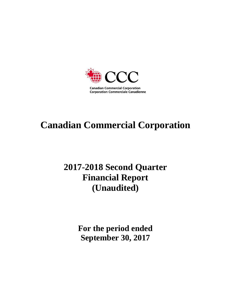

# **Canadian Commercial Corporation**

## **2017-2018 Second Quarter Financial Report (Unaudited)**

**For the period ended September 30, 2017**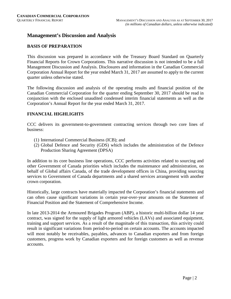#### **Management's Discussion and Analysis**

#### **BASIS OF PREPARATION**

This discussion was prepared in accordance with the Treasury Board Standard on Quarterly Financial Reports for Crown Corporations. This narrative discussion is not intended to be a full Management Discussion and Analysis. Disclosures and information in the Canadian Commercial Corporation Annual Report for the year ended March 31, 2017 are assumed to apply to the current quarter unless otherwise stated.

The following discussion and analysis of the operating results and financial position of the Canadian Commercial Corporation for the quarter ending September 30, 2017 should be read in conjunction with the enclosed unaudited condensed interim financial statements as well as the Corporation's Annual Report for the year ended March 31, 2017.

#### **FINANCIAL HIGHLIGHTS**

CCC delivers its government-to-government contracting services through two core lines of business:

- (1) International Commercial Business (ICB); and
- (2) Global Defence and Security (GDS) which includes the administration of the Defence Production Sharing Agreement (DPSA)

In addition to its core business line operations, CCC performs activities related to sourcing and other Government of Canada priorities which includes the maintenance and administration, on behalf of Global affairs Canada, of the trade development offices in China, providing sourcing services to Government of Canada departments and a shared services arrangement with another crown corporation.

Historically, large contracts have materially impacted the Corporation's financial statements and can often cause significant variations in certain year-over-year amounts on the Statement of Financial Position and the Statement of Comprehensive Income.

In late 2013-2014 the Armoured Brigades Program (ABP), a historic multi-billion dollar 14 year contract, was signed for the supply of light armored vehicles (LAVs) and associated equipment, training and support services. As a result of the magnitude of this transaction, this activity could result in significant variations from period-to-period on certain accounts. The accounts impacted will most notably be receivables, payables, advances to Canadian exporters and from foreign customers, progress work by Canadian exporters and for foreign customers as well as revenue accounts.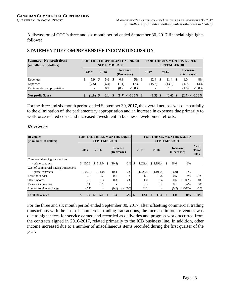A discussion of CCC's three and six month period ended September 30, 2017 financial highlights follows:

| <b>Summary - Net profit (loss)</b><br>(in millions of dollars) |    |                          |           | <b>SEPTEMBER 30</b> |    |                        | <b>FOR THE THREE MONTHS ENDED</b> |      |                          |    | <b>SEPTEMBER 30</b> | <b>FOR THE SIX MONTHS ENDED</b> |                  |
|----------------------------------------------------------------|----|--------------------------|-----------|---------------------|----|------------------------|-----------------------------------|------|--------------------------|----|---------------------|---------------------------------|------------------|
|                                                                |    | 2017<br>2016             |           |                     |    | Increase<br>(Decrease) |                                   |      | 2017                     |    | 2016                | <b>Increase</b><br>(Decrease)   |                  |
| Revenues                                                       | S  | 5.9                      | £.        | 5.6                 | -S | 0.3                    | $5\%$                             | l \$ | 12.4                     | S. | 11.4                | 1.0                             | 8%               |
| Expenses                                                       |    | (7.5)                    |           | (6.4)               |    | (1.1)                  | $-17\%$                           |      | (15.7)                   |    | (13.8)              | (1.9)                           | $-14%$           |
| Parliamentary appropriation                                    |    | $\overline{\phantom{a}}$ |           | 0.9                 |    | (0.9)                  | $-100%$                           |      | $\overline{\phantom{0}}$ |    | 1.8                 | (1.8)                           | $-100%$          |
| Net profit (loss)                                              | \$ | $(1.6)$ \$               | -S<br>0.1 |                     |    |                        | $(1.7) < -100\%$ \$               |      | $(3.3)$ \$               |    | $(0.6)$ \$          |                                 | $(2.7) < -100\%$ |

#### **STATEMENT OF COMPREHENSIVE INCOME DISCUSSION**

For the three and six month period ended September 30, 2017, the overall net loss was due partially to the elimination of the parliamentary appropriation and an increase in expenses due primarily to workforce related costs and increased investment in business development efforts.

#### **REVENUES**

| <b>Revenues</b>                         |           |                             |    |                               | <b>FOR THE THREE MONTHS ENDED</b> |               |            |     |                                                      | <b>FOR THE SIX MONTHS ENDED</b> |                                |
|-----------------------------------------|-----------|-----------------------------|----|-------------------------------|-----------------------------------|---------------|------------|-----|------------------------------------------------------|---------------------------------|--------------------------------|
| (in millions of dollars)                | 2017      | <b>SEPTEMBER 30</b><br>2016 |    | <b>Increase</b><br>(Decrease) |                                   | 2017          | 2016       |     | <b>SEPTEMBER 30</b><br><b>Increase</b><br>(Decrease) |                                 | $%$ of<br><b>Total</b><br>2017 |
| Commercial trading transactions         |           |                             |    |                               |                                   |               |            |     |                                                      |                                 |                                |
| - prime contracts                       | \$600.6   | \$611.0                     | S. | (10.4)                        | $-2\%$                            | \$<br>1,229.4 | \$1,193.4  | \$. | 36.0                                                 | 3%                              |                                |
| Cost of commercial trading transactions |           |                             |    |                               |                                   |               |            |     |                                                      |                                 |                                |
| - prime contracts                       | (600.6)   | (611.0)                     |    | 10.4                          | 2%                                | (1,229.4)     | (1,193.4)  |     | (36.0)                                               | $-3\%$                          |                                |
| Fees for service                        | 5.3       | 5.2                         |    | 0.1                           | 1%                                | 11.3          | 10.8       |     | 0.5                                                  | 4%                              | 91%                            |
| Other income                            | 0.6       | 0.3                         |    | 0.3                           | 82%                               | 1.0           | 0.4        |     | 0.6                                                  | >100%                           | 8%                             |
| Finance income, net                     | 0.1       | 0.1                         |    |                               | ۰                                 | 0.3           | 0.2        |     | 0.1                                                  | 52%                             | 3%                             |
| Loss on foreign exchange                | (0.1)     | ۰                           |    | (0.1)                         | $\langle -100\%$                  | (0.2)         |            |     | (0.2)                                                | $\langle -100\%$                | $-2\%$                         |
| <b>Total Revenues</b>                   | \$<br>5.9 | \$<br>5.6                   |    | 0.3                           | $5%$ \$                           | 12.4          | \$<br>11.4 | \$  | 1.0                                                  | 8%                              | $100\%$                        |

For the three and six month period ended September 30, 2017, after offsetting commercial trading transactions with the cost of commercial trading transactions, the increase in total revenues was due to higher fees for service earned and recorded as deliveries and progress work occurred from the contracts signed in 2016-2017, related primarily to the ICB business line. In addition, other income increased due to a number of miscellaneous items recorded during the first quarter of the year.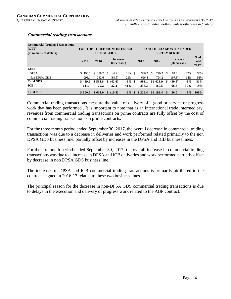| <b>Commercial Trading Transactions</b> |         |             |                               |           |         |                                 |     |                               |        |                                |
|----------------------------------------|---------|-------------|-------------------------------|-----------|---------|---------------------------------|-----|-------------------------------|--------|--------------------------------|
| (CTT)                                  |         |             | FOR THE THREE MONTHS ENDED    |           |         | <b>FOR THE SIX MONTHS ENDED</b> |     |                               |        |                                |
| (in millions of dollars)               |         |             | <b>SEPTEMBER 30</b>           |           |         |                                 |     | <b>SEPTEMBER 30</b>           |        |                                |
|                                        | 2017    | 2016        | <b>Increase</b><br>(Decrease) |           | 2017    | 2016                            |     | <b>Increase</b><br>(Decrease) |        | $%$ of<br><b>Total</b><br>2017 |
| GDS:                                   |         |             |                               |           |         |                                 |     |                               |        |                                |
| <b>DPSA</b>                            | \$196.1 | S.<br>149.2 | \$.<br>46.9                   | 31% \$    | 366.7   | 299.7<br>\$.                    | \$. | 67.0                          | 22%    | 30%                            |
| Non-DPSA GDS                           | 293.1   | 382.6       | (89.5)                        | $-23%$    | 626.4   | 724.2                           |     | (97.8)                        | $-14%$ | 51%                            |
| <b>Total GDS</b>                       | \$489.2 | \$531.8     | (42.6)<br>\$                  | $-8\%$ \$ | 993.1   | \$1,023.9                       | \$  | (30.8)                        | $-3%$  | 81%                            |
| <b>ICB</b>                             | 111.4   | 79.2        | 32.2                          | 41%       | 236.3   | 169.5                           |     | 66.8                          | 39%    | 19%                            |
| <b>Total CTT</b>                       | \$600.6 | \$611.0     | \$ (10.4)                     | $-2\%$ \$ | 1.229.4 | \$1,193.4                       | S   | <b>36.0</b>                   | 3%     | 100%                           |

#### **Commercial trading transactions**

Commercial trading transactions measure the value of delivery of a good or service or progress work that has been performed . It is important to note that as an international trade intermediary, revenues from commercial trading transactions on prime contracts are fully offset by the cost of commercial trading transactions on prime contracts.

For the three month period ended September 30, 2017, the overall decrease in commercial trading transactions was due to a decrease in deliveries and work performed related primarily to the non DPSA GDS business line, partially offset by increases in the DPSA and ICB business lines.

For the six month period ended September 30, 2017, the overall increase in commercial trading transactions was due to a increase in DPSA and ICB deliveries and work performed partially offset by decrease in non DPSA GDS business line.

The increases to DPSA and ICB commercial trading transactions is primarily attributed to the contracts signed in 2016-17 related to these two business lines.

The principal reason for the decrease in non-DPSA GDS commercial trading transactions is due to delays in the execution and delivery of progress work related to the ABP contract.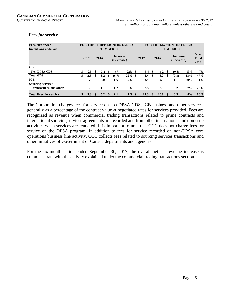| <b>Fees for service</b><br>(in millions of dollars) |    |      |          |                                       |    | <b>SEPTEMBER 30</b> | FOR THE THREE MONTHS ENDED |    |      |      |      |    | <b>FOR THE SIX MONTHS ENDED</b><br><b>SEPTEMBER 30</b> |        |                                |
|-----------------------------------------------------|----|------|----------|---------------------------------------|----|---------------------|----------------------------|----|------|------|------|----|--------------------------------------------------------|--------|--------------------------------|
|                                                     |    | 2017 |          | <b>Increase</b><br>2016<br>(Decrease) |    |                     |                            |    | 2017 |      | 2016 |    | <b>Increase</b><br>(Decrease)                          |        | $%$ of<br><b>Total</b><br>2017 |
| GDS:                                                |    |      |          |                                       |    |                     |                            |    |      |      |      |    |                                                        |        |                                |
| Non-DPSA GDS                                        | S. | 2.5  | \$.      | 3.2                                   | \$ | (0.7)               | $-22%$                     | -S | 5.4  | - \$ | 6.2  | -S | (0.8)                                                  | $-13%$ | 47%                            |
| <b>Total GDS</b>                                    | \$ | 2.5  | \$       | 3.2                                   | \$ | (0.7)               | $-22\%$ \$                 |    | 5.4  | -\$  | 6.2  | \$ | (0.8)                                                  | $-13%$ | 47%                            |
| <b>ICB</b>                                          |    | 1.5  |          | 0.9                                   |    | 0.6                 | 59%                        |    | 3.4  |      | 2.3  |    | 1.1                                                    | 49%    | 31%                            |
| <b>Sourcing services</b>                            |    |      |          |                                       |    |                     |                            |    |      |      |      |    |                                                        |        |                                |
| transactions and other                              |    | 1.3  |          | 1.1                                   |    | 0.2                 | 18%                        |    | 2.5  |      | 2.3  |    | 0.2                                                    | $7\%$  | 22%                            |
| <b>Total Fees for service</b>                       | \$ | 5.3  | <b>S</b> | 5.2                                   |    | 0.1                 | $1\%$ \$                   |    | 11.3 | - \$ | 10.8 |    | 0.5                                                    | 4%     | $100\%$                        |

#### *Fees for service*

The Corporation charges fees for service on non-DPSA GDS, ICB business and other services, generally as a percentage of the contract value at negotiated rates for services provided. Fees are recognized as revenue when commercial trading transactions related to prime contracts and international sourcing services agreements are recorded and from other international and domestic activities when services are rendered. It is important to note that CCC does not charge fees for service on the DPSA program. In addition to fees for service recorded on non-DPSA core operations business line activity, CCC collects fees related to sourcing services transactions and other initiatives of Government of Canada departments and agencies.

For the six-month period ended September 30, 2017, the overall net fee revenue increase is commensurate with the activity explained under the commercial trading transactions section.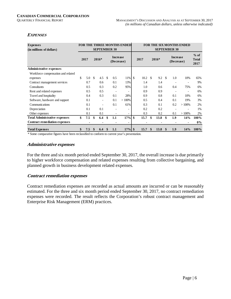$\sim 10^{-11}$ 

 $\sim 100$ 

 $\sim$   $\sim$ 

#### **EXPENSES**

| <b>Expenses</b><br>(in millions of dollars) |     | <b>FOR THE THREE MONTHS ENDED</b><br><b>SEPTEMBER 30</b> |    |                |               |     |           |    |         |    |                        |               | <b>SEPTEMBER 30</b>            | <b>FOR THE SIX MONTHS ENDED</b> |         |
|---------------------------------------------|-----|----------------------------------------------------------|----|----------------|---------------|-----|-----------|----|---------|----|------------------------|---------------|--------------------------------|---------------------------------|---------|
|                                             |     | <b>Increase</b><br>$2016*$<br>2017<br>(Decrease)         |    |                |               |     | 2017      |    | $2016*$ |    | Increase<br>(Decrease) |               | $%$ of<br><b>Total</b><br>2017 |                                 |         |
| <b>Administrative expenses</b>              |     |                                                          |    |                |               |     |           |    |         |    |                        |               |                                |                                 |         |
| Workforce compensation and related          |     |                                                          |    |                |               |     |           |    |         |    |                        |               |                                |                                 |         |
| expenses                                    | \$. | 5.0                                                      | \$ | 4.5            | <sup>\$</sup> | 0.5 | 11%       | \$ | 10.2    | -S | 9.2                    | <sup>\$</sup> | 1.0                            | 10%                             | 65%     |
| Contract management services                |     | 0.7                                                      |    | 0.6            |               | 0.1 | 13%       |    | 1.4     |    | 1.4                    |               |                                | ٠                               | 9%      |
| Consultants                                 |     | 0.5                                                      |    | 0.3            |               | 0.2 | 95%       |    | 1.0     |    | 0.6                    |               | 0.4                            | 75%                             | 6%      |
| Rent and related expenses                   |     | 0.5                                                      |    | 0.5            |               |     | ÷,        |    | 0.9     |    | 0.9                    |               |                                | $\overline{a}$                  | 6%      |
| Travel and hospitality                      |     | 0.4                                                      |    | 0.3            |               | 0.1 | 28%       |    | 0.9     |    | 0.8                    |               | 0.1                            | 10%                             | 6%      |
| Software, hardware and support              |     | 0.1                                                      |    | $\blacksquare$ |               | 0.1 | >100%     |    | 0.5     |    | 0.4                    |               | 0.1                            | 19%                             | 3%      |
| Communications                              |     | 0.1                                                      |    | $\rightarrow$  |               | 0.1 | 61%       |    | 0.3     |    | 0.1                    |               | 0.2                            | $>100\%$                        | 2%      |
| Depreciation                                |     | 0.1                                                      |    | 0.1            |               |     |           |    | 0.2     |    | 0.2                    |               |                                |                                 | 1%      |
| Other expenses                              |     | 0.1                                                      |    | 0.1            |               |     |           |    | 0.3     |    | 0.2                    |               | 0.1                            | >100%                           | 2%      |
| <b>Total Administrative expenses</b>        | \$  | 7.5                                                      | \$ | 6.4            | \$            | 1.1 | 17%       | \$ | 15.7    | \$ | 13.8                   | \$            | 1.9                            | 14%                             | 100%    |
| <b>Contract remediation expenses</b>        |     | ٠                                                        |    |                |               |     | ٠         |    |         |    |                        |               |                                | ٠                               | $0\%$   |
| <b>Total Expenses</b>                       | \$  | 7.5                                                      | \$ | 6.4            | \$            | 1.1 | $17\%$ \$ |    | 15.7    | \$ | 13.8                   | $\frac{1}{2}$ | 1.9                            | 14%                             | $100\%$ |

\* Some comparative figures have been reclassified to conform to current year's presentation.

#### **Administrative expenses**

For the three and six month period ended September 30, 2017, the overall increase is due primarily to higher workforce compensation and related expenses resulting from collective bargaining, and planned growth in business development related expenses.

#### **Contract remediation expenses**

Contract remediation expenses are recorded as actual amounts are incurred or can be reasonably estimated. For the three and six month period ended September 30, 2017, no contract remediation expenses were recorded. The result reflects the Corporation's robust contract management and Enterprise Risk Management (ERM) practices.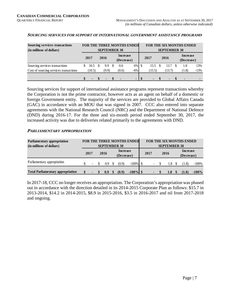| Sourcing services transactions         |                                            |  |                     |   |                               | FOR THE THREE MONTHS ENDED |     |                |               |                     |      | <b>FOR THE SIX MONTHS ENDED</b> |                |
|----------------------------------------|--------------------------------------------|--|---------------------|---|-------------------------------|----------------------------|-----|----------------|---------------|---------------------|------|---------------------------------|----------------|
| (in millions of dollars)               |                                            |  | <b>SEPTEMBER 30</b> |   |                               |                            |     |                |               | <b>SEPTEMBER 30</b> |      |                                 |                |
|                                        | 2017                                       |  | 2016                |   | <b>Increase</b><br>(Decrease) |                            |     | 2017           |               | 2016                |      | Increase<br>(Decrease)          |                |
| Sourcing services transactions         | 10.5                                       |  | 9.9                 | S | 0.6                           | $6\%$                      | -\$ | 15.5           | <sup>\$</sup> | 13.7                | - \$ | 1.8                             | 13%            |
| Cost of sourcing services transactions | (10.5)                                     |  | (9.9)               |   | (0.6)                         | $-6%$                      |     | (15.5)         |               | (13.7)              |      | (1.8)                           | $-13%$         |
|                                        | $\blacksquare$<br>$\overline{\phantom{0}}$ |  |                     |   |                               |                            |     | $\blacksquare$ |               | $\blacksquare$      |      |                                 | $\blacksquare$ |

#### **SOURCING SERVICES FOR SUPPORT OF INTERNATIONAL GOVERNMENT ASSISTANCE PROGRAMS**

Sourcing services for support of international assistance programs represent transactions whereby the Corporation is not the prime contractor, however acts as an agent on behalf of a domestic or foreign Government entity. The majority of the services are provided to Global Affairs Canada (GAC) in accordance with an MOU that was signed in 2007. CCC also entered into separate agreements with the National Research Council (NRC) and the Department of National Defence (DND) during 2016-17. For the three and six-month period ended September 30, 2017, the increased activity was due to deliveries related primarily to the agreements with DND.

#### **PARLIAMENTARY APPROPRIATION**

| Parliamentary appropriation<br>(in millions of dollars) |      |        | <b>SEPTEMBER 30</b> |  |                        | FOR THE THREE MONTHS ENDED |                | <b>SEPTEMBER 30</b> | <b>FOR THE SIX MONTHS ENDED</b> |          |
|---------------------------------------------------------|------|--------|---------------------|--|------------------------|----------------------------|----------------|---------------------|---------------------------------|----------|
|                                                         | 2017 |        | 2016                |  | Increase<br>(Decrease) |                            | 2017           | 2016                | Increase<br>(Decrease)          |          |
| Parliamentary appropriation                             |      | $\sim$ | 0.9                 |  | (0.9)                  | $-100\%$ \$                | $\blacksquare$ | 1.8                 | (1.8)                           | $-100\%$ |
| <b>Total Parliamentary appropriation</b>                | \$.  |        | 0.9                 |  | (0.9)                  | $-100\%$ \$                |                | 1.8                 | (1.8)                           | $-100%$  |

In 2017-18, CCC no longer receives an appropriation. The Corporation's appropriation was phased out in accordance with the direction detailed in its 2014-2015 Corporate Plan as follows: \$15.7 in 2013-2014, \$14.2 in 2014-2015, \$8.9 in 2015-2016, \$3.5 in 2016-2017 and nil from 2017-2018 and ongoing.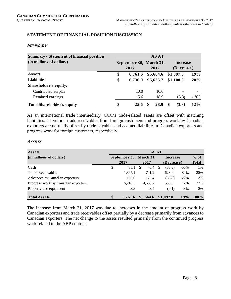#### **STATEMENT OF FINANCIAL POSITION DISCUSSION**

#### **SUMMARY**

| <b>Summary - Statement of financial position</b> |                                 | <b>AS AT</b> |   |                        |        |
|--------------------------------------------------|---------------------------------|--------------|---|------------------------|--------|
| (in millions of dollars)                         | September 30, March 31,<br>2017 | 2017         |   | Increase<br>(Decrease) |        |
| Assets                                           | \$<br>6,761.6                   | \$5,664.6    |   | \$1,097.0              | 19%    |
| <b>Liabilities</b>                               | \$<br>6,736.0                   | \$5,635.7    |   | \$1,100.3              | 20%    |
| Shareholder's equity:                            |                                 |              |   |                        |        |
| Contributed surplus                              | 10.0                            | 10.0         |   |                        |        |
| Retained earnings                                | 15.6                            | 18.9         |   | (3.3)                  | $-18%$ |
| <b>Total Shareholder's equity</b>                | \$<br>25.6                      | 28.9         | S | (3.3)                  | $-12%$ |

As an international trade intermediary, CCC's trade-related assets are offset with matching liabilities. Therefore, trade receivables from foreign customers and progress work by Canadian exporters are normally offset by trade payables and accrued liabilities to Canadian exporters and progress work for foreign customers, respectively.

#### **ASSETS**

| Assets                              |                         |   | <b>AS AT</b> |   |                 |         |              |
|-------------------------------------|-------------------------|---|--------------|---|-----------------|---------|--------------|
| (in millions of dollars)            | September 30, March 31, |   |              |   | <b>Increase</b> |         | $%$ of       |
|                                     | 2017                    |   | 2017         |   | (Decrease)      |         | <b>Total</b> |
| Cash                                | \$<br>38.1              | S | 76.4         | S | (38.3)          | $-50\%$ | 1%           |
| <b>Trade Receivables</b>            | 1,365.1                 |   | 741.2        |   | 623.9           | 84%     | 20%          |
| Advances to Canadian exporters      | 136.6                   |   | 175.4        |   | (38.8)          | $-22\%$ | 2%           |
| Progress work by Canadian exporters | 5,218.5                 |   | 4,668.2      |   | 550.3           | 12%     | 77%          |
| Property and equipment              | 3.3                     |   | 3.4          |   | (0.1)           | $-3\%$  | $0\%$        |
| <b>Total Assets</b>                 | \$<br>6,761.6           |   | \$5,664.6    |   | \$1,097.0       | 19%     | 100%         |

The increase from March 31, 2017 was due to increases in the amount of progress work by Canadian exporters and trade receivables offset partially by a decrease primarily from advances to Canadian exporters. The net change to the assets resulted primarily from the continued progress work related to the ABP contract.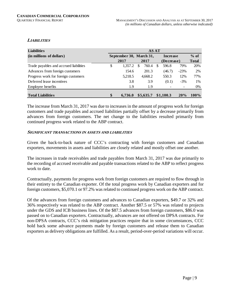#### **LIABILITIES**

| <b>Liabilities</b>                     | <b>AS AT</b> |                         |          |           |     |            |        |              |  |  |  |  |
|----------------------------------------|--------------|-------------------------|----------|-----------|-----|------------|--------|--------------|--|--|--|--|
| (in millions of dollars)               |              | September 30, March 31, |          |           |     | Increase   |        | $%$ of       |  |  |  |  |
|                                        |              | 2017                    |          | 2017      |     | (Decrease) |        | <b>Total</b> |  |  |  |  |
| Trade payables and accrued liabilities | \$           | 1,357.2                 | <b>S</b> | 760.4     | \$. | 596.8      | 79%    | 20%          |  |  |  |  |
| Advances from foreign customers        |              | 154.6                   |          | 201.3     |     | (46.7)     | $-23%$ | 2%           |  |  |  |  |
| Progress work for foreign customers    |              | 5,218.5                 |          | 4,668.2   |     | 550.3      | 12%    | 77%          |  |  |  |  |
| Deferred lease incentives              |              | 3.8                     |          | 3.9       |     | (0.1)      | $-3\%$ | 1%           |  |  |  |  |
| Employee benefits                      |              | 1.9                     |          | 1.9       |     |            |        | 0%           |  |  |  |  |
| <b>Total Liabilities</b>               | \$           | 6.736.0                 |          | \$5,635.7 |     | \$1,100.3  | 20%    | $100\%$      |  |  |  |  |

The increase from March 31, 2017 was due to increases in the amount of progress work for foreign customers and trade payables and accrued liabilities partially offset by a decrease primarily from advances from foreign customers. The net change to the liabilities resulted primarily from continued progress work related to the ABP contract.

#### **SIGNIFICANT TRANSACTIONS IN ASSETS AND LIABILITIES**

Given the back-to-back nature of CCC's contracting with foreign customers and Canadian exporters, movements in assets and liabilities are closely related and mostly offset one another.

The increases in trade receivables and trade payables from March 31, 2017 was due primarily to the recording of accrued receivable and payable transactions related to the ABP to reflect progress work to date.

Contractually, payments for progress work from foreign customers are required to flow through in their entirety to the Canadian exporter. Of the total progress work by Canadian exporters and for foreign customers, \$5,070.1 or 97.2% was related to continued progress work on the ABP contract.

Of the advances from foreign customers and advances to Canadian exporters, \$49.7 or 32% and 36% respectively was related to the ABP contract. Another \$87.5 or 57% was related to projects under the GDS and ICB business lines. Of the \$87.5 advances from foreign customers, \$86.0 was passed on to Canadian exporters. Contractually, advances are not offered on DPSA contracts. For non-DPSA contracts, CCC's risk mitigation practices require that in some circumstances, CCC hold back some advance payments made by foreign customers and release them to Canadian exporters as delivery obligations are fulfilled. As a result, period-over-period variations will occur.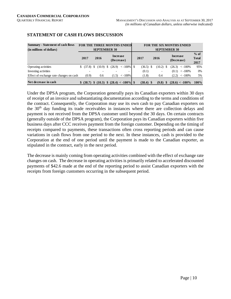| <b>Summary - Statement of cash flows</b> |              | <b>FOR THE THREE MONTHS ENDED</b>       |                               |                      |              |             |  |        |                     |                               | <b>FOR THE SIX MONTHS ENDED</b> |                                |
|------------------------------------------|--------------|-----------------------------------------|-------------------------------|----------------------|--------------|-------------|--|--------|---------------------|-------------------------------|---------------------------------|--------------------------------|
| (in millions of dollars)                 |              |                                         | <b>SEPTEMBER 30</b>           |                      |              |             |  |        | <b>SEPTEMBER 30</b> |                               |                                 |                                |
|                                          | 2017         | 2016                                    | <b>Increase</b><br>(Decrease) |                      | 2017<br>2016 |             |  |        |                     | <b>Increase</b><br>(Decrease) |                                 | $%$ of<br><b>Total</b><br>2017 |
| Operating activities                     | \$ (37.8) \$ | $(10.9)$ \$                             |                               | $(26.9) < -100\%$ \$ |              | $(36.5)$ \$ |  | (10.2) | - S                 |                               | $(26.3) < -100\%$               | 95%                            |
| Investing activities                     |              |                                         |                               |                      |              | (0.1)       |  |        |                     | (0.1)                         | $\langle -100\%$                | 0%                             |
| Effect of exchange rate changes on cash  | (0.9)        | 0.6                                     | (1.5)                         | $\epsilon$ -100%     |              | (1.8)       |  | 0.4    |                     | (2.2)                         | $< -100\%$                      | 5%                             |
| Net decrease in cash                     |              | $$ (38.7) \$ (10.3) \$ (28.4) < -100\%$ |                               | $(38.4)$ \$          |              | $(9.8)$ \$  |  |        | $(28.6) < -100\%$   | $100\%$                       |                                 |                                |

#### **STATEMENT OF CASH FLOWS DISCUSSION**

Under the DPSA program, the Corporation generally pays its Canadian exporters within 30 days of receipt of an invoice and substantiating documentation according to the terms and conditions of the contract. Consequently, the Corporation may use its own cash to pay Canadian exporters on the  $30<sup>th</sup>$  day funding its trade receivables in instances where there are collection delays and payment is not received from the DPSA customer until beyond the 30 days. On certain contracts (generally outside of the DPSA program), the Corporation pays its Canadian exporters within five business days after CCC receives payment from the foreign customer. Depending on the timing of receipts compared to payments, these transactions often cross reporting periods and can cause variations in cash flows from one period to the next. In these instances, cash is provided to the Corporation at the end of one period until the payment is made to the Canadian exporter, as stipulated in the contract, early in the next period.

The decrease is mainly coming from operating activities combined with the effect of exchange rate changes on cash. The decrease in operating activities is primarily related to accelerated discounted payments of \$42.6 made at the end of the reporting period to assist Canadian exporters with the receipts from foreign customers occurring in the subsequent period.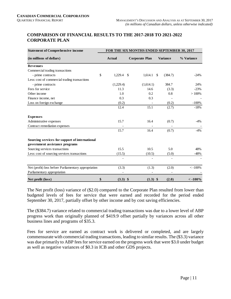#### **COMPARISON OF FINANCIAL RESULTS TO THE 2017-2018 TO 2021-2022 CORPORATE PLAN**

| <b>Statement of Comprehensive income</b>                                         |                  |    | FOR THE SIX MONTHS ENDED SEPTEMBER 30, 2017 |              |                 |                  |
|----------------------------------------------------------------------------------|------------------|----|---------------------------------------------|--------------|-----------------|------------------|
| (in millions of dollars)                                                         | <b>Actual</b>    |    | <b>Corporate Plan</b>                       |              | <b>Variance</b> | % Variance       |
| <b>Revenues</b>                                                                  |                  |    |                                             |              |                 |                  |
| Commercial trading transactions                                                  |                  |    |                                             |              |                 |                  |
| - prime contracts                                                                | \$<br>1,229.4    | -S | 1,614.1                                     | $\mathbb{S}$ | (384.7)         | $-24%$           |
| Less: cost of commercial trading transactions                                    |                  |    |                                             |              |                 |                  |
| - prime contracts                                                                | (1,229.4)        |    | (1,614.1)                                   |              | 384.7           | 24%              |
| Fees for service                                                                 | 11.3             |    | 14.6                                        |              | (3.3)           | $-23%$           |
| Other income                                                                     | 1.0              |    | 0.2                                         |              | 0.8             | >100%            |
| Finance income, net                                                              | 0.3              |    | 0.3                                         |              |                 |                  |
| Loss on foreign exchange                                                         | (0.2)            |    |                                             |              | (0.2)           | $-100%$          |
|                                                                                  | 12.4             |    | 15.1                                        |              | (2.7)           | $-18%$           |
| <b>Expenses</b>                                                                  |                  |    |                                             |              |                 |                  |
| Administrative expenses                                                          | 15.7             |    | 16.4                                        |              | (0.7)           | $-4\%$           |
| Contract remediation expenses                                                    |                  |    |                                             |              |                 |                  |
|                                                                                  | 15.7             |    | 16.4                                        |              | (0.7)           | $-4%$            |
| Sourcing services for support of international<br>government assistance programs |                  |    |                                             |              |                 |                  |
| Sourcing services transactions                                                   | 15.5             |    | 10.5                                        |              | 5.0             | 48%              |
| Less: cost of sourcing services transactions                                     | (15.5)           |    | (10.5)                                      |              | (5.0)           | $-48%$           |
|                                                                                  |                  |    |                                             |              |                 |                  |
| Net (profit) loss before Parliamentary appropriation                             | (3.3)            |    | (1.3)                                       |              | (2.0)           | $< -100%$        |
| Parliamentary appropriation                                                      |                  |    |                                             |              |                 |                  |
| Net profit (loss)                                                                | \$<br>$(3.3)$ \$ |    | $(1.3)$ \$                                  |              | (2.0)           | $\langle -100\%$ |

The Net profit (loss) variance of (\$2.0) compared to the Corporate Plan resulted from lower than budgeted levels of fees for service that were earned and recorded for the period ended September 30, 2017, partially offset by other income and by cost saving efficiencies.

The (\$384.7) variance related to commercial trading transactions was due to a lower level of ABP progress work than originally planned of \$419.9 offset partially by variances across all other business lines and programs of \$35.3.

Fees for service are earned as contract work is delivered or completed, and are largely commensurate with commercial trading transactions, leading to similar results. The (\$3.3) variance was due primarily to ABP fees for service earned on the progress work that were \$3.0 under budget as well as negative variances of \$0.3 in ICB and other GDS projects.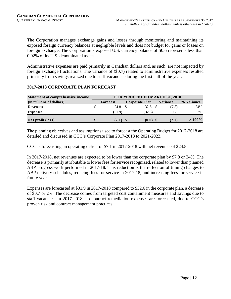The Corporation manages exchange gains and losses through monitoring and maintaining its exposed foreign currency balances at negligible levels and does not budget for gains or losses on foreign exchange. The Corporation's exposed U.S. currency balance of \$0.6 represents less than 0.02% of its U.S. denominated assets.

Administrative expenses are paid primarily in Canadian dollars and, as such, are not impacted by foreign exchange fluctuations. The variance of (\$0.7) related to administrative expenses resulted primarily from savings realized due to staff vacancies during the first half of the year.

#### **2017-2018 CORPORATE PLAN FORECAST**

| <b>Statement of comprehensive income</b> | <b>FOR YEAR ENDED MARCH 31, 2018</b> |          |  |                       |  |                 |            |  |  |
|------------------------------------------|--------------------------------------|----------|--|-----------------------|--|-----------------|------------|--|--|
| (in millions of dollars)                 |                                      | Forecast |  | <b>Corporate Plan</b> |  | <b>Variance</b> | % Variance |  |  |
| Revenues                                 |                                      | 24.8     |  | 32.6 \$               |  | (7.8)           | $-24%$     |  |  |
| Expenses                                 |                                      | (31.9)   |  | (32.6)                |  | 0.7             | 2%         |  |  |
| Net profit (loss)                        |                                      | (7.1)    |  | (0.0)                 |  | (7.1)           | $>100\%$   |  |  |

The planning objectives and assumptions used to forecast the Operating Budget for 2017-2018 are detailed and discussed in CCC's Corporate Plan 2017-2018 to 2021-2022.

CCC is forecasting an operating deficit of \$7.1 in 2017-2018 with net revenues of \$24.8.

In 2017-2018, net revenues are expected to be lower than the corporate plan by \$7.8 or 24%. The decrease is primarily attributable to lower fees for service recognized, related to lower than planned ABP progress work performed in 2017-18. This reduction is the reflection of timing changes to ABP delivery schedules, reducing fees for service in 2017-18, and increasing fees for service in future years.

Expenses are forecasted at \$31.9 in 2017-2018 compared to \$32.6 in the corporate plan, a decrease of \$0.7 or 2%. The decrease comes from targeted cost containment measures and savings due to staff vacancies. In 2017-2018, no contract remediation expenses are forecasted, due to CCC's proven risk and contract management practices.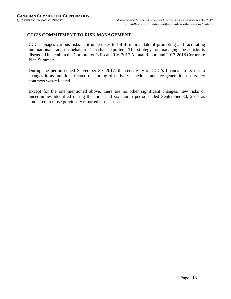#### **CCC'S COMMITMENT TO RISK MANAGEMENT**

CCC manages various risks as it undertakes to fulfill its mandate of promoting and facilitating international trade on behalf of Canadian exporters. The strategy for managing these risks is discussed in detail in the Corporation's fiscal 2016-2017 Annual Report and 2017-2018 Corporate Plan Summary.

During the period ended September 30, 2017, the sensitivity of CCC's financial forecasts to changes in assumptions related the timing of delivery schedules and fee generation on its key contracts was reflected.

Except for the one mentioned above, there are no other significant changes, new risks or uncertainties identified during the three and six month period ended September 30, 2017 as compared to those previously reported or discussed.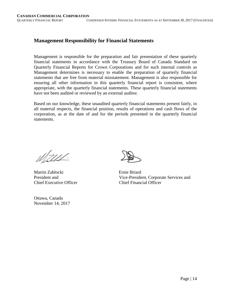#### **Management Responsibility for Financial Statements**

Management is responsible for the preparation and fair presentation of these quarterly financial statements in accordance with the Treasury Board of Canada Standard on Quarterly Financial Reports for Crown Corporations and for such internal controls as Management determines is necessary to enable the preparation of quarterly financial statements that are free from material misstatement. Management is also responsible for ensuring all other information in this quarterly financial report is consistent, where appropriate, with the quarterly financial statements. These quarterly financial statements have not been audited or reviewed by an external auditor.

Based on our knowledge, these unaudited quarterly financial statements present fairly, in all material respects, the financial position, results of operations and cash flows of the corporation, as at the date of and for the periods presented in the quarterly financial statements.

Wald-

Martin Zablocki Ernie Briard Chief Executive Officer Chief Financial Officer

Ottawa, Canada November 14, 2017

President and Vice-President, Corporate Services and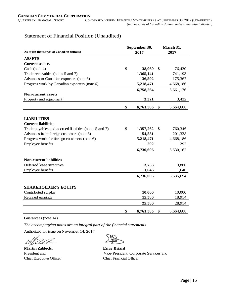#### Statement of Financial Position (Unaudited)

| As at (in thousands of Canadian dollars)               |    | September 30,<br>2017 | March 31,<br>2017 |           |  |
|--------------------------------------------------------|----|-----------------------|-------------------|-----------|--|
| <b>ASSETS</b>                                          |    |                       |                   |           |  |
| <b>Current assets</b>                                  |    |                       |                   |           |  |
| Cash (note 4)                                          | \$ | 38,060                | \$                | 76,430    |  |
| Trade receivables (notes 5 and 7)                      |    | 1,365,141             |                   | 741,193   |  |
| Advances to Canadian exporters (note 6)                |    | 136,592               |                   | 175,367   |  |
| Progress work by Canadian exporters (note 6)           |    | 5,218,471             |                   | 4,668,186 |  |
|                                                        |    | 6,758,264             |                   | 5,661,176 |  |
| <b>Non-current assets</b>                              |    |                       |                   |           |  |
| Property and equipment                                 |    | 3,321                 |                   | 3,432     |  |
|                                                        | \$ | 6,761,585             | \$                | 5,664,608 |  |
|                                                        |    |                       |                   |           |  |
| <b>LIABILITIES</b>                                     |    |                       |                   |           |  |
| <b>Current liabilities</b>                             |    |                       |                   |           |  |
| Trade payables and accrued liabilities (notes 5 and 7) | \$ | 1,357,262             | \$                | 760,346   |  |
| Advances from foreign customers (note 6)               |    | 154,581               |                   | 201,338   |  |
| Progress work for foreign customers (note 6)           |    | 5,218,471             |                   | 4,668,186 |  |
| Employee benefits                                      |    | 292                   |                   | 292       |  |
|                                                        |    | 6,730,606             |                   | 5,630,162 |  |
| <b>Non-current liabilities</b>                         |    |                       |                   |           |  |
| Deferred lease incentives                              |    | 3,753                 |                   | 3,886     |  |
| Employee benefits                                      |    | 1,646                 |                   | 1,646     |  |
|                                                        |    | 6,736,005             |                   | 5,635,694 |  |
| <b>SHAREHOLDER'S EQUITY</b>                            |    |                       |                   |           |  |
| Contributed surplus                                    |    | 10,000                |                   | 10,000    |  |
| Retained earnings                                      |    | 15,580                |                   | 18,914    |  |
|                                                        |    | 25,580                |                   | 28,914    |  |
|                                                        |    |                       |                   |           |  |
|                                                        | \$ | 6,761,585             | \$                | 5,664,608 |  |

Guarantees (note 14)

*The accompanying notes are an integral part of the financial statements.*

Authorized for issue on November 14, 2017

**Martin Zablocki Ernie Briard** Chief Executive Officer Chief Financial Officer

President and Vice-President, Corporate Services and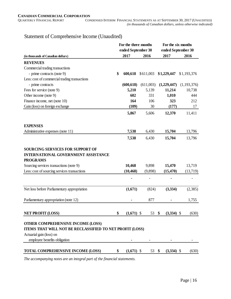|                                                                                                          | For the three months |                    | For the six months |                    |             |  |
|----------------------------------------------------------------------------------------------------------|----------------------|--------------------|--------------------|--------------------|-------------|--|
|                                                                                                          |                      | ended September 30 |                    | ended September 30 |             |  |
| (in thousands of Canadian dollars)                                                                       |                      | 2017               | 2016               | 2017               | 2016        |  |
| <b>REVENUES</b>                                                                                          |                      |                    |                    |                    |             |  |
| Commercial trading transactions                                                                          |                      |                    |                    |                    |             |  |
| - prime contracts (note 9)                                                                               | \$                   | 600,618            | \$611,003          | \$1,229,447        | \$1,193,376 |  |
| Less: cost of commercial trading transactions                                                            |                      |                    |                    |                    |             |  |
| - prime contracts                                                                                        |                      | (600, 618)         | (611,003)          | (1,229,447)        | (1,193,376) |  |
| Fees for service (note 9)                                                                                |                      | 5,210              | 5,139              | 11,214             | 10,738      |  |
| Other income (note 9)                                                                                    |                      | 602                | 331                | 1,010              | 444         |  |
| Finance income, net (note 10)                                                                            |                      | 164                | 106                | 323                | 212         |  |
| Gain (loss) on foreign exchange                                                                          |                      | (109)              | 30                 | (177)              | 17          |  |
|                                                                                                          |                      | 5,867              | 5,606              | 12,370             | 11,411      |  |
| <b>EXPENSES</b>                                                                                          |                      |                    |                    |                    |             |  |
| Administrative expenses (note 11)                                                                        |                      | 7,538              | 6,430              | 15,704             | 13,796      |  |
|                                                                                                          |                      | 7,538              | 6,430              | 15,704             | 13,796      |  |
| <b>SOURCING SERVICES FOR SUPPORT OF</b><br><b>INTERNATIONAL GOVERNMENT ASSISTANCE</b><br><b>PROGRAMS</b> |                      |                    |                    |                    |             |  |
| Sourcing services transactions (note 9)                                                                  |                      | 10,468             | 9,898              | 15,470             | 13,719      |  |
| Less: cost of sourcing services transactions                                                             |                      | (10, 468)          | (9,898)            | (15, 470)          | (13,719)    |  |
|                                                                                                          |                      |                    |                    |                    |             |  |
| Net loss before Parliamentary appropriation                                                              |                      | (1,671)            | (824)              | (3, 334)           | (2,385)     |  |
| Parliamentary appropriation (note 12)                                                                    |                      |                    | 877                | -                  | 1,755       |  |
| <b>NET PROFIT (LOSS)</b>                                                                                 | \$                   | $(1,671)$ \$       | 53                 | \$<br>$(3,334)$ \$ | (630)       |  |
|                                                                                                          |                      |                    |                    |                    |             |  |
| OTHER COMPREHENSIVE INCOME (LOSS)                                                                        |                      |                    |                    |                    |             |  |
| ITEMS THAT WILL NOT BE RECLASSIFIED TO NET PROFIT (LOSS)                                                 |                      |                    |                    |                    |             |  |
| Actuarial gain (loss) on                                                                                 |                      |                    |                    |                    |             |  |
| employee benefits obligation                                                                             |                      |                    |                    |                    |             |  |
| <b>TOTAL COMPREHENSIVE INCOME (LOSS)</b>                                                                 | \$                   | $(1,671)$ \$       | 53 \$              | $(3,334)$ \$       | (630)       |  |

## Statement of Comprehensive Income (Unaudited)

*The accompanying notes are an integral part of the financial statements.*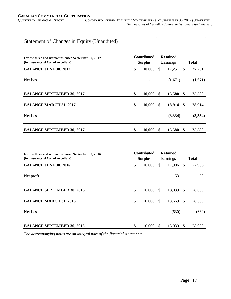### Statement of Changes in Equity (Unaudited)

| For the three and six months ended September 30, 2017 | <b>Contributed</b><br><b>Surplus</b> |        |    | <b>Retained</b> |                   |              |
|-------------------------------------------------------|--------------------------------------|--------|----|-----------------|-------------------|--------------|
| (in thousands of Canadian dollars)                    |                                      |        |    | <b>Earnings</b> |                   | <b>Total</b> |
| <b>BALANCE JUNE 30, 2017</b>                          | \$                                   | 10,000 |    | \$<br>17,251    | \$                | 27,251       |
| Net loss                                              |                                      |        |    | (1,671)         |                   | (1,671)      |
| <b>BALANCE SEPTEMBER 30, 2017</b>                     | \$                                   | 10,000 | \$ | 15,580          | \$                | 25,580       |
| <b>BALANCE MARCH 31, 2017</b>                         | \$                                   | 10,000 | \$ | 18,914          | \$                | 28,914       |
| Net loss                                              |                                      |        |    | (3,334)         |                   | (3,334)      |
| <b>BALANCE SEPTEMBER 30, 2017</b>                     | \$                                   | 10,000 | \$ | 15,580          | $\boldsymbol{\$}$ | 25,580       |

| For the three and six months ended September 30, 2016<br>(in thousands of Canadian dollars) | <b>Contributed</b><br><b>Surplus</b> |               | <b>Retained</b><br><b>Earnings</b> |               | <b>Total</b> |
|---------------------------------------------------------------------------------------------|--------------------------------------|---------------|------------------------------------|---------------|--------------|
| <b>BALANCE JUNE 30, 2016</b>                                                                | \$<br>10,000                         | \$            | 17,986                             | $\mathbb{S}$  | 27,986       |
| Net profit                                                                                  |                                      |               | 53                                 |               | 53           |
| <b>BALANCE SEPTEMBER 30, 2016</b>                                                           | \$<br>10,000                         | -S            | 18,039                             | $\mathcal{S}$ | 28,039       |
| <b>BALANCE MARCH 31, 2016</b>                                                               | \$<br>10,000                         | \$            | 18,669                             | $\mathbb{S}$  | 28,669       |
| Net loss                                                                                    |                                      |               | (630)                              |               | (630)        |
| <b>BALANCE SEPTEMBER 30, 2016</b>                                                           | \$<br>10,000                         | <sup>\$</sup> | 18,039                             | \$            | 28,039       |

*The accompanying notes are an integral part of the financial statements.*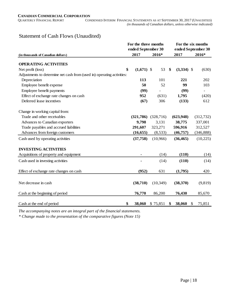### Statement of Cash Flows (Unaudited)

|                                                                        | For the three months |            | For the six months |              |  |  |  |  |
|------------------------------------------------------------------------|----------------------|------------|--------------------|--------------|--|--|--|--|
|                                                                        | ended September 30   |            | ended September 30 |              |  |  |  |  |
| (in thousands of Canadian dollars)                                     | 2017                 | 2016*      | 2017               | 2016*        |  |  |  |  |
| <b>OPERATING ACTIVITIES</b>                                            |                      |            |                    |              |  |  |  |  |
|                                                                        |                      |            |                    |              |  |  |  |  |
| Net profit (loss)                                                      | \$<br>$(1,671)$ \$   | 53         | \$<br>$(3,334)$ \$ | (630)        |  |  |  |  |
| Adjustments to determine net cash from (used in) operating activities: |                      |            |                    |              |  |  |  |  |
| Depreciation                                                           | 113                  | 101        | 221                | 202          |  |  |  |  |
| Employee benefit expense                                               | 50                   | 52         | 99                 | 103          |  |  |  |  |
| Employee benefit payments                                              | (99)                 |            | (99)               |              |  |  |  |  |
| Effect of exchange rate changes on cash                                | 952                  | (631)      | 1,795              | (420)        |  |  |  |  |
| Deferred lease incentives                                              | (67)                 | 306        | (133)              | 612          |  |  |  |  |
| Change in working capital from:                                        |                      |            |                    |              |  |  |  |  |
| Trade and other receivables                                            | (321,786)            | (328, 716) | (623, 948)         | (312, 732)   |  |  |  |  |
| Advances to Canadian exporters                                         | 9,798                | 3,131      | 38,775             | 337,001      |  |  |  |  |
| Trade payables and accrued liabilities                                 | 291,607              | 323,271    | 596,916            | 312,527      |  |  |  |  |
| Advances from foreign customers                                        | (16, 655)            | (8,533)    | (46, 757)          | (346, 888)   |  |  |  |  |
| Cash used by operating activities                                      | (37,758)             | (10,966)   | (36, 465)          | (10,225)     |  |  |  |  |
| <b>INVESTING ACTIVITIES</b>                                            |                      |            |                    |              |  |  |  |  |
| Acquisitions of property and equipment                                 | ٠                    | (14)       | (110)              | (14)         |  |  |  |  |
| Cash used in investing activities                                      |                      | (14)       | (110)              | (14)         |  |  |  |  |
| Effect of exchange rate changes on cash                                | (952)                | 631        | (1,795)            | 420          |  |  |  |  |
|                                                                        |                      |            |                    |              |  |  |  |  |
| Net decrease in cash                                                   | (38,710)             | (10, 349)  | (38,370)           | (9, 819)     |  |  |  |  |
| Cash at the beginning of period                                        | 76,770               | 86,200     | 76,430             | 85,670       |  |  |  |  |
| Cash at the end of period                                              | \$<br>38,060         | \$75,851   | 38,060<br>\$       | 75,851<br>\$ |  |  |  |  |

*The accompanying notes are an integral part of the financial statements.*

*\* Change made to the presentation of the comparative figures (Note 15)*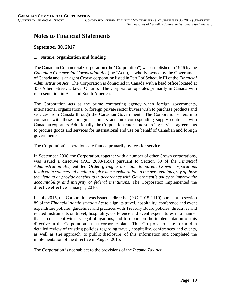## **Notes to Financial Statements**

#### **September 30, 2017**

#### **1. Nature, organization and funding**

The Canadian Commercial Corporation (the "Corporation") was established in 1946 by the *Canadian Commercial Corporation Act* (the "Act"), is wholly owned by the Government of Canada and is an agent Crown corporation listed in Part I of Schedule III of the *Financial Administration Act*. The Corporation is domiciled in Canada with a head office located at 350 Albert Street, Ottawa, Ontario. The Corporation operates primarily in Canada with representation in Asia and South America.

The Corporation acts as the prime contracting agency when foreign governments, international organizations, or foreign private sector buyers wish to purchase products and services from Canada through the Canadian Government. The Corporation enters into contracts with these foreign customers and into corresponding supply contracts with Canadian exporters. Additionally, the Corporation enters into sourcing services agreements to procure goods and services for international end use on behalf of Canadian and foreign governments.

The Corporation's operations are funded primarily by fees for service.

In September 2008, the Corporation, together with a number of other Crown corporations, was issued a directive (P.C. 2008-1598) pursuant to Section 89 of the *Financial Administration Act*, entitled *Order giving a direction to parent Crown corporations involved in commercial lending to give due consideration to the personal integrity of those they lend to or provide benefits to in accordance with Government's policy to improve the accountability and integrity of federal institutions*. The Corporation implemented the directive effective January 1, 2010.

In July 2015, the Corporation was issued a directive (P.C. 2015-1110) pursuant to section 89 of the *Financial Administration Act* to align its travel, hospitality, conference and event expenditure policies, guidelines and practices with Treasury Board policies, directives and related instruments on travel, hospitality, conference and event expenditures in a manner that is consistent with its legal obligations, and to report on the implementation of this directive in the Corporation's next corporate plan. The Corporation performed a detailed review of existing policies regarding travel, hospitality, conferences and events, as well as the approach to public disclosure of this information and completed the implementation of the directive in August 2016.

The Corporation is not subject to the provisions of the *Income Tax Act*.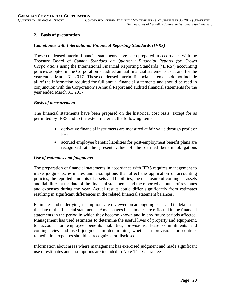#### **2. Basis of preparation**

#### *Compliance with International Financial Reporting Standards (IFRS)*

These condensed interim financial statements have been prepared in accordance with the Treasury Board of Canada *Standard on Quarterly Financial Reports for Crown Corporations* using the International Financial Reporting Standards ("IFRS") accounting policies adopted in the Corporation's audited annual financial statements as at and for the year ended March 31, 2017. These condensed interim financial statements do not include all of the information required for full annual financial statements and should be read in conjunction with the Corporation's Annual Report and audited financial statements for the year ended March 31, 2017.

#### *Basis of measurement*

The financial statements have been prepared on the historical cost basis, except for as permitted by IFRS and to the extent material, the following items:

- derivative financial instruments are measured at fair value through profit or loss
- accrued employee benefit liabilities for post-employment benefit plans are recognized at the present value of the defined benefit obligations

#### *Use of estimates and judgments*

The preparation of financial statements in accordance with IFRS requires management to make judgments, estimates and assumptions that affect the application of accounting policies, the reported amounts of assets and liabilities, the disclosure of contingent assets and liabilities at the date of the financial statements and the reported amounts of revenues and expenses during the year. Actual results could differ significantly from estimates resulting in significant differences in the related financial statement balances.

Estimates and underlying assumptions are reviewed on an ongoing basis and in detail as at the date of the financial statements. Any changes in estimates are reflected in the financial statements in the period in which they become known and in any future periods affected. Management has used estimates to determine the useful lives of property and equipment, to account for employee benefits liabilities, provisions, lease commitments and contingencies and used judgment in determining whether a provision for contract remediation expenses should be recognized or disclosed.

Information about areas where management has exercised judgment and made significant use of estimates and assumptions are included in Note 14 – Guarantees.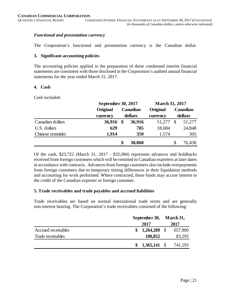#### *Functional and presentation currency*

The Corporation's functional and presentation currency is the Canadian dollar.

#### **3. Significant accounting policies**

The accounting policies applied in the preparation of these condensed interim financial statements are consistent with those disclosed in the Corporation's audited annual financial statements for the year ended March 31, 2017.

#### **4. Cash**

Cash included:

|                  | September 30, 2017 |          |         | <b>March 31, 2017</b> |               |         |  |
|------------------|--------------------|----------|---------|-----------------------|---------------|---------|--|
|                  | Original           | Canadian |         | Original              | Canadian      |         |  |
|                  | currency           |          | dollars | currency              |               | dollars |  |
| Canadian dollars | 36,916             | \$       | 36,916  | 51,277                | $\mathcal{S}$ | 51,277  |  |
| U.S. dollars     | 629                |          | 785     | 18,684                |               | 24,848  |  |
| Chinese renminbi | 1.914              |          | 359     | 1,574                 |               | 305     |  |
|                  |                    | \$       | 38,060  |                       | \$            | 76,430  |  |

Of the cash, \$23,722 (March 31, 2017 - \$32,084) represents advances and holdbacks received from foreign customers which will be remitted to Canadian exporters at later dates in accordance with contracts. Advances from foreign customers also include overpayments from foreign customers due to temporary timing differences in their liquidation methods and accounting for work performed. Where contracted, these funds may accrue interest to the credit of the Canadian exporter or foreign customer.

#### **5. Trade receivables and trade payables and accrued liabilities**

Trade receivables are based on normal international trade terms and are generally non-interest bearing. The Corporation's trade receivables consisted of the following:

|                     | September 30, |                |      | March 31, |
|---------------------|---------------|----------------|------|-----------|
|                     | 2017          |                |      | 2017      |
| Accrued receivables |               | 1,264,289      | - \$ | 657,900   |
| Trade receivables   |               | 100,852        |      | 83,293    |
|                     |               | $1,365,141$ \$ |      | 741,193   |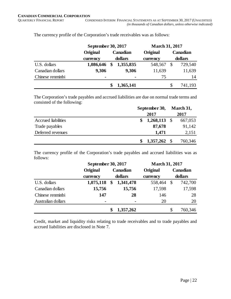|                  | September 30, 2017 |          |           | <b>March 31, 2017</b> |          |         |  |  |
|------------------|--------------------|----------|-----------|-----------------------|----------|---------|--|--|
|                  | Original           | Canadian |           | Original              | Canadian |         |  |  |
|                  | currency           |          | dollars   | currency              |          | dollars |  |  |
| U.S. dollars     | 1,086,646          |          | 1,355,835 | 548,567               |          | 729,540 |  |  |
| Canadian dollars | 9,306              |          | 9,306     | 11,639                |          | 11,639  |  |  |
| Chinese renminbi |                    |          | ۰         | 75                    |          | 14      |  |  |
|                  |                    |          | 1,365,141 |                       | \$.      | 741,193 |  |  |

The currency profile of the Corporation's trade receivables was as follows:

The Corporation's trade payables and accrued liabilities are due on normal trade terms and consisted of the following:

|                     | September 30,  |  |         |
|---------------------|----------------|--|---------|
|                     | 2017           |  | 2017    |
| Accrued liabilities | $1,268,113$ \$ |  | 667,053 |
| Trade payables      | 87,678         |  | 91,142  |
| Deferred revenues   | 1,471          |  | 2,151   |
|                     | $1,357,262$ \$ |  | 760,346 |

The currency profile of the Corporation's trade payables and accrued liabilities was as follows:

|                    | September 30, 2017 |                          | <b>March 31, 2017</b> |          |         |
|--------------------|--------------------|--------------------------|-----------------------|----------|---------|
|                    | Original           | Canadian                 | Original              | Canadian |         |
|                    | currency           | dollars                  | currency              |          | dollars |
| U.S. dollars       | 1,075,118          | \$<br>1,341,478          | 558,464               | \$       | 742,700 |
| Canadian dollars   | 15,756             | 15,756                   | 17,598                |          | 17,598  |
| Chinese renminbi   | 147                | 28                       | 146                   |          | 28      |
| Australian dollars |                    | $\overline{\phantom{0}}$ | 20                    |          | 20      |
|                    |                    | 1,357,262                |                       | \$       | 760,346 |

Credit, market and liquidity risks relating to trade receivables and to trade payables and accrued liabilities are disclosed in Note 7.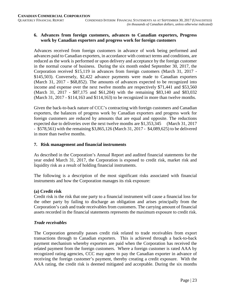#### **6. Advances from foreign customers, advances to Canadian exporters, Progress work by Canadian exporters and progress work for foreign customers**

Advances received from foreign customers in advance of work being performed and advances paid to Canadian exporters, in accordance with contract terms and conditions, are reduced as the work is performed or upon delivery and acceptance by the foreign customer in the normal course of business. During the six month ended September 30, 2017, the Corporation received \$15,119 in advances from foreign customers (March 31, 2017 - \$145,503). Conversely, \$2,422 advance payments were made to Canadian exporters (March 31, 2017 - \$68,852). The amounts of advances expected to be recognized into income and expense over the next twelve months are respectively \$71,441 and \$53,560 (March 31, 2017 - \$87,175 and \$61,204) with the remaining \$83,140 and \$83,032 (March 31, 2017 - \$114,163 and \$114,163) to be recognized in more than twelve months.

Given the back-to-back nature of CCC's contracting with foreign customers and Canadian exporters, the balances of progress work by Canadian exporters and progress work for foreign customers are reduced by amounts that are equal and opposite. The reductions expected due to deliveries over the next twelve months are \$1,353,345 (March 31, 2017 - \$578,561) with the remaining \$3,865,126 (March 31, 2017 - \$4,089,625) to be delivered in more than twelve months.

#### **7. Risk management and financial instruments**

As described in the Corporation's Annual Report and audited financial statements for the year ended March 31, 2017, the Corporation is exposed to credit risk, market risk and liquidity risk as a result of holding financial instruments.

The following is a description of the most significant risks associated with financial instruments and how the Corporation manages its risk exposure:

#### **(a) Credit risk**

Credit risk is the risk that one party to a financial instrument will cause a financial loss for the other party by failing to discharge an obligation and arises principally from the Corporation's cash and trade receivables from customers. The carrying amount of financial assets recorded in the financial statements represents the maximum exposure to credit risk.

#### *Trade receivables*

The Corporation generally passes credit risk related to trade receivables from export transactions through to Canadian exporters. This is achieved through a back-to-back payment mechanism whereby exporters are paid when the Corporation has received the related payment from the foreign customers. Where a foreign customer is rated AAA by recognized rating agencies, CCC may agree to pay the Canadian exporter in advance of receiving the foreign customer's payment, thereby creating a credit exposure. With the AAA rating, the credit risk is deemed mitigated and acceptable. During the six months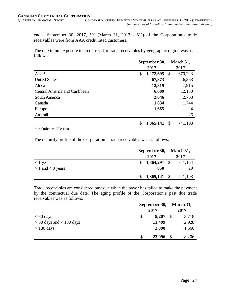ended September 30, 2017, 5% (March 31, 2017 - 6%) of the Corporation's trade receivables were from AAA credit rated customers.

The maximum exposure to credit risk for trade receivables by geographic region was as follows:

|                               | September 30, |           |               | March 31,      |
|-------------------------------|---------------|-----------|---------------|----------------|
|                               |               | 2017      |               | 2017           |
| Asia *                        | \$            | 1,272,695 | \$            | 670,223        |
| <b>United States</b>          |               | 67,373    |               | 46,363         |
| Africa                        |               | 12,319    |               | 7,915          |
| Central America and Caribbean |               | 6,609     |               | 12,150         |
| South America                 |               | 2,646     |               | 2,768          |
| Canada                        |               | 1,834     |               | 1,744          |
| Europe                        |               | 1,665     |               | $\overline{4}$ |
| Australia                     |               |           |               | 26             |
|                               | \$            | 1,365,141 | $\mathcal{S}$ | 741,193        |

\* Includes Middle East

The maturity profile of the Corporation's trade receivables was as follows:

|                       | September 30, March 31, |         |
|-----------------------|-------------------------|---------|
|                       | 2017                    | 2017    |
| $<$ 1 year            | $$1,364,291$ \\$        | 741,164 |
| $> 1$ and $<$ 3 years | 850                     | 29      |
|                       | $1,365,141$ \$          | 741,193 |

Trade receivables are considered past due when the payor has failed to make the payment by the contractual due date. The aging profile of the Corporation's past due trade receivables was as follows:

|                              | September 30,<br>2017 |        | March 31,<br>2017 |  |
|------------------------------|-----------------------|--------|-------------------|--|
| $<$ 30 days                  | \$                    | 9,207  | 3,718<br>-S       |  |
| $>$ 30 days and $<$ 180 days |                       | 11,499 | 2,928             |  |
| $> 180$ days                 |                       | 2,390  | 1,560             |  |
|                              | S                     | 23,096 | 8,206             |  |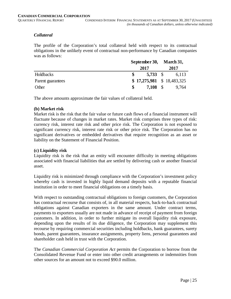#### *Collateral*

The profile of the Corporation's total collateral held with respect to its contractual obligations in the unlikely event of contractual non-performance by Canadian companies was as follows:

|                   | September 30, March 31,    |       |  |
|-------------------|----------------------------|-------|--|
|                   | 2017                       | 2017  |  |
| Holdbacks         | 5,733 \$                   | 6,113 |  |
| Parent guarantees | $$17,275,981 \$18,483,325$ |       |  |
| Other             | $7,108$ \$                 | 9,764 |  |

The above amounts approximate the fair values of collateral held.

#### **(b) Market risk**

Market risk is the risk that the fair value or future cash flows of a financial instrument will fluctuate because of changes in market rates. Market risk comprises three types of risk: currency risk, interest rate risk and other price risk. The Corporation is not exposed to significant currency risk, interest rate risk or other price risk. The Corporation has no significant derivatives or embedded derivatives that require recognition as an asset or liability on the Statement of Financial Position.

#### **(c) Liquidity risk**

Liquidity risk is the risk that an entity will encounter difficulty in meeting obligations associated with financial liabilities that are settled by delivering cash or another financial asset.

Liquidity risk is minimized through compliance with the Corporation's investment policy whereby cash is invested in highly liquid demand deposits with a reputable financial institution in order to meet financial obligations on a timely basis.

With respect to outstanding contractual obligations to foreign customers, the Corporation has contractual recourse that consists of, in all material respects, back-to-back contractual obligations against Canadian exporters in the same amount. Under contract terms, payments to exporters usually are not made in advance of receipt of payment from foreign customers. In addition, in order to further mitigate its overall liquidity risk exposure, depending upon the results of its due diligence, the Corporation may supplement this recourse by requiring commercial securities including holdbacks, bank guarantees, surety bonds, parent guarantees, insurance assignments, property liens, personal guarantees and shareholder cash held in trust with the Corporation.

The *Canadian Commercial Corporation Act* permits the Corporation to borrow from the Consolidated Revenue Fund or enter into other credit arrangements or indemnities from other sources for an amount not to exceed \$90.0 million.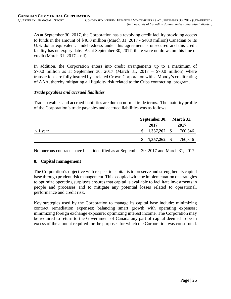As at September 30, 2017, the Corporation has a revolving credit facility providing access to funds in the amount of \$40.0 million (March 31, 2017 - \$40.0 million) Canadian or its U.S. dollar equivalent. Indebtedness under this agreement is unsecured and this credit facility has no expiry date. As at September 30, 2017, there were no draws on this line of credit (March 31, 2017 – nil).

In addition, the Corporation enters into credit arrangements up to a maximum of \$70.0 million as at September 30, 2017 (March 31, 2017 – \$70.0 million) where transactions are fully insured by a related Crown Corporation with a Moody's credit rating of AAA, thereby mitigating all liquidity risk related to the Cuba contracting program.

#### *Trade payables and accrued liabilities*

Trade payables and accrued liabilities are due on normal trade terms. The maturity profile of the Corporation's trade payables and accrued liabilities was as follows:

|            | September 30,         | March 31, |
|------------|-----------------------|-----------|
|            | 2017                  | 2017      |
| $< 1$ year | 1,357,262             | 760,346   |
|            | $1,357,262$ \$<br>SS. | 760,346   |

No onerous contracts have been identified as at September 30, 2017 and March 31, 2017.

#### **8. Capital management**

The Corporation's objective with respect to capital is to preserve and strengthen its capital base through prudent risk management. This, coupled with the implementation of strategies to optimize operating surpluses ensures that capital is available to facilitate investments in people and processes and to mitigate any potential losses related to operational, performance and credit risk.

Key strategies used by the Corporation to manage its capital base include: minimizing contract remediation expenses; balancing smart growth with operating expenses; minimizing foreign exchange exposure; optimizing interest income. The Corporation may be required to return to the Government of Canada any part of capital deemed to be in excess of the amount required for the purposes for which the Corporation was constituted.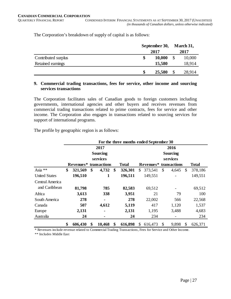The Corporation's breakdown of supply of capital is as follows:

|                     | September 30, |        |    | March 31, |
|---------------------|---------------|--------|----|-----------|
|                     |               | 2017   |    | 2017      |
| Contributed surplus | \$            | 10,000 |    | 10,000    |
| Retained earnings   |               | 15,580 |    | 18,914    |
|                     | \$            | 25,580 | \$ | 28,914    |

#### **9. Commercial trading transactions, fees for service, other income and sourcing services transactions**

The Corporation facilitates sales of Canadian goods to foreign customers including governments, international agencies and other buyers and receives revenues from commercial trading transactions related to prime contracts, fees for service and other income. The Corporation also engages in transactions related to sourcing services for support of international programs.

The profile by geographic region is as follows:

|                      | For the three months ended September 30 |                                    |    |                 |    |              |      |         |                        |                 |    |              |  |
|----------------------|-----------------------------------------|------------------------------------|----|-----------------|----|--------------|------|---------|------------------------|-----------------|----|--------------|--|
|                      |                                         |                                    |    | 2017            |    |              | 2016 |         |                        |                 |    |              |  |
|                      |                                         |                                    |    | <b>Sourcing</b> |    |              |      |         |                        | <b>Sourcing</b> |    |              |  |
|                      |                                         |                                    |    | services        |    |              |      |         |                        | services        |    |              |  |
|                      |                                         | Revenues <sup>*</sup> transactions |    |                 |    | <b>Total</b> |      |         | Revenues* transactions |                 |    | <b>Total</b> |  |
| Asia **              | \$                                      | 321,569                            | \$ | 4,732           | \$ | 326,301      | \$   | 373,541 | \$                     | 4,645           | \$ | 378,186      |  |
| <b>United States</b> |                                         | 196,510                            |    | 1               |    | 196,511      |      | 149,551 |                        |                 |    | 149,551      |  |
| Central America      |                                         |                                    |    |                 |    |              |      |         |                        |                 |    |              |  |
| and Caribbean        |                                         | 81,798                             |    | 785             |    | 82,583       |      | 69,512  |                        |                 |    | 69,512       |  |
| Africa               |                                         | 3,613                              |    | 338             |    | 3,951        |      | 21      |                        | 79              |    | 100          |  |
| South America        |                                         | 278                                |    | ۰               |    | 278          |      | 22,002  |                        | 566             |    | 22,568       |  |
| Canada               |                                         | 507                                |    | 4,612           |    | 5,119        |      | 417     |                        | 1,120           |    | 1,537        |  |
| Europe               |                                         | 2,131                              |    | ۰               |    | 2,131        |      | 1,195   |                        | 3,488           |    | 4,683        |  |
| Australia            |                                         | 24                                 |    | ۰               |    | 24           |      | 234     |                        |                 |    | 234          |  |
|                      | \$                                      | 606,430                            | \$ | 10,468          | \$ | 616,898      | S    | 616,473 | $\mathbb{S}$           | 9,898           | S  | 626,371      |  |

\* Revenues include revenue related to Commercial Trading Transactions, Fees for Service and Other Income.

\*\* Includes Middle East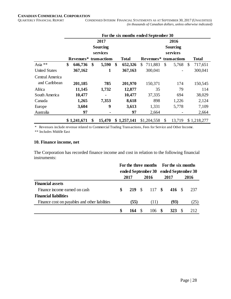## **CANADIAN COMMERCIAL CORPORATION**

CONDENSED INTERIM FINANCIAL STATEMENTS AS AT SEPTEMBER 30, 2017 (UNAUDITED) *(in thousands of Canadian dollars, unless otherwise indicated)*

|                      | For the six months ended September 30 |                        |    |                 |    |              |                 |              |              |               |             |  |  |
|----------------------|---------------------------------------|------------------------|----|-----------------|----|--------------|-----------------|--------------|--------------|---------------|-------------|--|--|
|                      |                                       |                        |    | 2017            |    | 2016         |                 |              |              |               |             |  |  |
|                      |                                       |                        |    | <b>Sourcing</b> |    |              | <b>Sourcing</b> |              |              |               |             |  |  |
|                      |                                       |                        |    | services        |    |              | services        |              |              |               |             |  |  |
|                      |                                       | Revenues* transactions |    |                 |    | <b>Total</b> | Revenues*       |              | <b>Total</b> |               |             |  |  |
| Asia **              | \$                                    | 646,736                | \$ | 5,590           | \$ | 652,326      | 711,883<br>\$   | $\mathbb{S}$ | 5,768        | $\mathcal{S}$ | 717,651     |  |  |
| <b>United States</b> |                                       | 367,162                |    | 1               |    | 367,163      | 300,041         |              |              |               | 300,041     |  |  |
| Central America      |                                       |                        |    |                 |    |              |                 |              |              |               |             |  |  |
| and Caribbean        |                                       | 201,185                |    | 785             |    | 201,970      | 150,371         |              | 174          |               | 150,545     |  |  |
| Africa               |                                       | 11,145                 |    | 1,732           |    | 12,877       | 35              |              | 79           |               | 114         |  |  |
| South America        |                                       | 10,477                 |    | ۰               |    | 10,477       | 37,335          |              | 694          |               | 38,029      |  |  |
| Canada               |                                       | 1,265                  |    | 7,353           |    | 8,618        | 898             |              | 1,226        |               | 2,124       |  |  |
| Europe               |                                       | 3,604                  |    | 9               |    | 3,613        | 1,331           |              | 5,778        |               | 7,109       |  |  |
| Australia            |                                       | 97                     |    |                 |    | 97           | 2,664           |              |              |               | 2,664       |  |  |
|                      |                                       | \$1,241,671            | \$ | 15,470          |    | \$1,257,141  | \$1,204,558     | \$           | 13,719       |               | \$1,218,277 |  |  |

\* Revenues include revenue related to Commercial Trading Transactions, Fees for Service and Other Income.

\*\* Includes Middle East

#### **10. Finance income, net**

The Corporation has recorded finance income and cost in relation to the following financial instruments:

|                                                | For the three months For the six months |      |  | ended September 30 ended September 30 |  |                      |  |      |
|------------------------------------------------|-----------------------------------------|------|--|---------------------------------------|--|----------------------|--|------|
|                                                |                                         | 2017 |  | 2016                                  |  | 2017                 |  | 2016 |
| <b>Financial assets</b>                        |                                         |      |  |                                       |  |                      |  |      |
| Finance income earned on cash                  | S                                       |      |  |                                       |  | 219 \$ 117 \$ 416 \$ |  | 237  |
| <b>Financial liabilities</b>                   |                                         |      |  |                                       |  |                      |  |      |
| Finance cost on payables and other liabilities |                                         | (55) |  | (11)                                  |  | (93)                 |  | (25) |
|                                                |                                         | 164  |  | 106                                   |  | <b>323</b>           |  | 212  |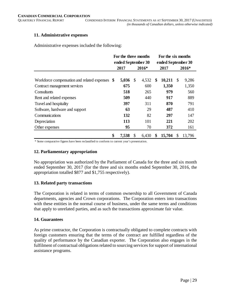#### **11. Administrative expenses**

Administrative expenses included the following:

|                                                | For the three months |               |         | For the six months |        |                           |        |  |  |  |
|------------------------------------------------|----------------------|---------------|---------|--------------------|--------|---------------------------|--------|--|--|--|
|                                                | ended September 30   |               |         | ended September 30 |        |                           |        |  |  |  |
|                                                | 2017                 |               | $2016*$ |                    | 2017   | 2016*                     |        |  |  |  |
|                                                |                      |               |         |                    |        |                           |        |  |  |  |
| Workforce compensation and related expenses \$ | 5,036                | $\mathcal{S}$ | 4,532   | \$                 | 10,211 | $\boldsymbol{\mathsf{S}}$ | 9,286  |  |  |  |
| Contract management services                   | 675                  |               | 600     |                    | 1,350  |                           | 1,350  |  |  |  |
| Consultants                                    | 518                  |               | 265     |                    | 979    |                           | 560    |  |  |  |
| Rent and related expenses                      | 509                  |               | 440     |                    | 917    |                           | 889    |  |  |  |
| Travel and hospitality                         | 397                  |               | 311     |                    | 870    |                           | 791    |  |  |  |
| Software, hardware and support                 | 63                   |               | 29      |                    | 487    |                           | 410    |  |  |  |
| Communications                                 | 132                  |               | 82      |                    | 297    |                           | 147    |  |  |  |
| Depreciation                                   | 113                  |               | 101     |                    | 221    |                           | 202    |  |  |  |
| Other expenses                                 | 95                   |               | 70      |                    | 372    |                           | 161    |  |  |  |
|                                                | \$<br>7,538          | \$            | 6,430   | \$                 | 15,704 | S                         | 13,796 |  |  |  |

\* Some comparative figures have been reclassified to conform to current year's presentation.

#### **12. Parliamentary appropriation**

No appropriation was authorized by the Parliament of Canada for the three and six month ended September 30, 2017 (for the three and six months ended September 30, 2016, the appropriation totalled \$877 and \$1,755 respectively).

#### **13. Related party transactions**

The Corporation is related in terms of common ownership to all Government of Canada departments, agencies and Crown corporations. The Corporation enters into transactions with these entities in the normal course of business, under the same terms and conditions that apply to unrelated parties, and as such the transactions approximate fair value.

#### **14. Guarantees**

As prime contractor, the Corporation is contractually obligated to complete contracts with foreign customers ensuring that the terms of the contract are fulfilled regardless of the quality of performance by the Canadian exporter. The Corporation also engages in the fulfilment of contractual obligations related to sourcing services for support of international assistance programs.